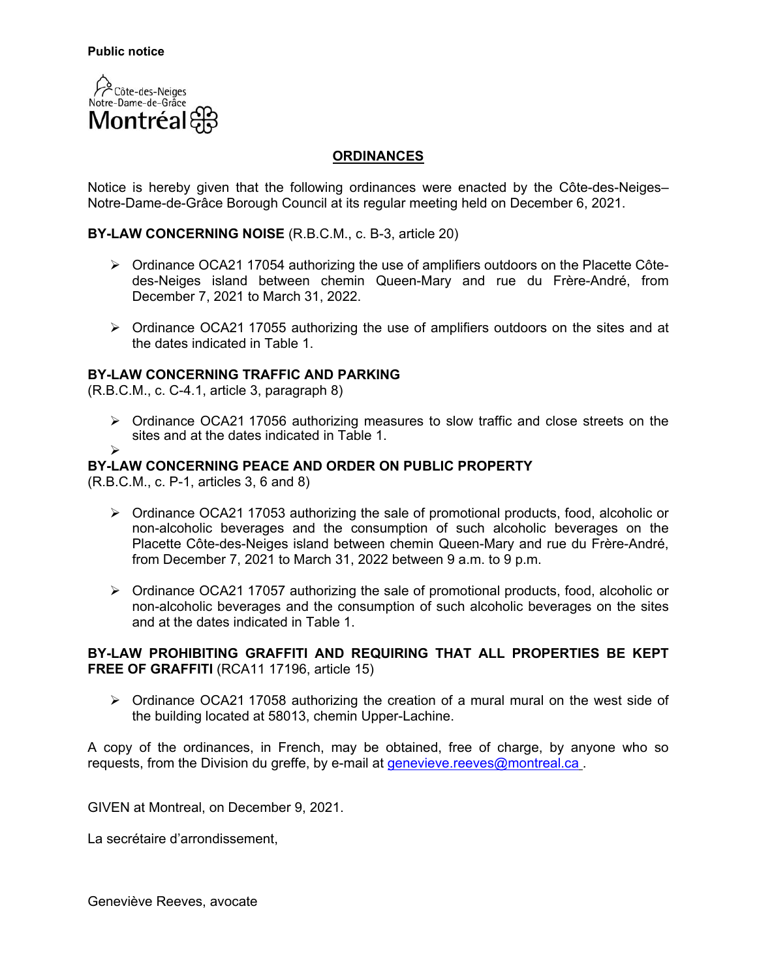

## **ORDINANCES**

Notice is hereby given that the following ordinances were enacted by the Côte-des-Neiges– Notre-Dame-de-Grâce Borough Council at its regular meeting held on December 6, 2021.

## **BY-LAW CONCERNING NOISE** (R.B.C.M., c. B-3, article 20)

- ▶ Ordinance OCA21 17054 authorizing the use of amplifiers outdoors on the Placette Côtedes-Neiges island between chemin Queen-Mary and rue du Frère-André, from December 7, 2021 to March 31, 2022.
- $\triangleright$  Ordinance OCA21 17055 authorizing the use of amplifiers outdoors on the sites and at the dates indicated in Table 1.

#### **BY-LAW CONCERNING TRAFFIC AND PARKING**

(R.B.C.M., c. C-4.1, article 3, paragraph 8)

 $\triangleright$  Ordinance OCA21 17056 authorizing measures to slow traffic and close streets on the sites and at the dates indicated in Table 1.

#### **BY-LAW CONCERNING PEACE AND ORDER ON PUBLIC PROPERTY**

(R.B.C.M., c. P-1, articles 3, 6 and 8)

 $\blacktriangleright$ 

- $\triangleright$  Ordinance OCA21 17053 authorizing the sale of promotional products, food, alcoholic or non-alcoholic beverages and the consumption of such alcoholic beverages on the Placette Côte-des-Neiges island between chemin Queen-Mary and rue du Frère-André, from December 7, 2021 to March 31, 2022 between 9 a.m. to 9 p.m.
- $\triangleright$  Ordinance OCA21 17057 authorizing the sale of promotional products, food, alcoholic or non-alcoholic beverages and the consumption of such alcoholic beverages on the sites and at the dates indicated in Table 1.

## **BY-LAW PROHIBITING GRAFFITI AND REQUIRING THAT ALL PROPERTIES BE KEPT FREE OF GRAFFITI** (RCA11 17196, article 15)

 $\triangleright$  Ordinance OCA21 17058 authorizing the creation of a mural mural on the west side of the building located at 58013, chemin Upper-Lachine.

A copy of the ordinances, in French, may be obtained, free of charge, by anyone who so requests, from the Division du greffe, by e-mail at [genevieve.reeves@montreal.ca](mailto:genevieve.reeves@montreal.ca).

GIVEN at Montreal, on December 9, 2021.

La secrétaire d'arrondissement,

Geneviève Reeves, avocate